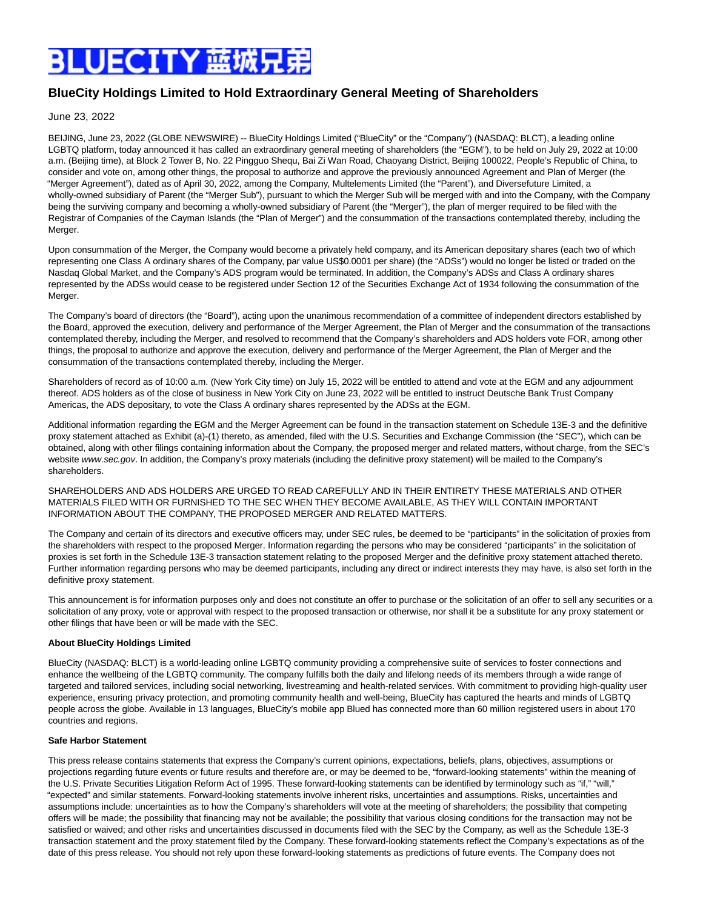# JECITY 蓝城兄

## **BlueCity Holdings Limited to Hold Extraordinary General Meeting of Shareholders**

June 23, 2022

BEIJING, June 23, 2022 (GLOBE NEWSWIRE) -- BlueCity Holdings Limited ("BlueCity" or the "Company") (NASDAQ: BLCT), a leading online LGBTQ platform, today announced it has called an extraordinary general meeting of shareholders (the "EGM"), to be held on July 29, 2022 at 10:00 a.m. (Beijing time), at Block 2 Tower B, No. 22 Pingguo Shequ, Bai Zi Wan Road, Chaoyang District, Beijing 100022, People's Republic of China, to consider and vote on, among other things, the proposal to authorize and approve the previously announced Agreement and Plan of Merger (the "Merger Agreement"), dated as of April 30, 2022, among the Company, Multelements Limited (the "Parent"), and Diversefuture Limited, a wholly-owned subsidiary of Parent (the "Merger Sub"), pursuant to which the Merger Sub will be merged with and into the Company, with the Company being the surviving company and becoming a wholly-owned subsidiary of Parent (the "Merger"), the plan of merger required to be filed with the Registrar of Companies of the Cayman Islands (the "Plan of Merger") and the consummation of the transactions contemplated thereby, including the Merger.

Upon consummation of the Merger, the Company would become a privately held company, and its American depositary shares (each two of which representing one Class A ordinary shares of the Company, par value US\$0.0001 per share) (the "ADSs") would no longer be listed or traded on the Nasdaq Global Market, and the Company's ADS program would be terminated. In addition, the Company's ADSs and Class A ordinary shares represented by the ADSs would cease to be registered under Section 12 of the Securities Exchange Act of 1934 following the consummation of the Merger.

The Company's board of directors (the "Board"), acting upon the unanimous recommendation of a committee of independent directors established by the Board, approved the execution, delivery and performance of the Merger Agreement, the Plan of Merger and the consummation of the transactions contemplated thereby, including the Merger, and resolved to recommend that the Company's shareholders and ADS holders vote FOR, among other things, the proposal to authorize and approve the execution, delivery and performance of the Merger Agreement, the Plan of Merger and the consummation of the transactions contemplated thereby, including the Merger.

Shareholders of record as of 10:00 a.m. (New York City time) on July 15, 2022 will be entitled to attend and vote at the EGM and any adjournment thereof. ADS holders as of the close of business in New York City on June 23, 2022 will be entitled to instruct Deutsche Bank Trust Company Americas, the ADS depositary, to vote the Class A ordinary shares represented by the ADSs at the EGM.

Additional information regarding the EGM and the Merger Agreement can be found in the transaction statement on Schedule 13E-3 and the definitive proxy statement attached as Exhibit (a)-(1) thereto, as amended, filed with the U.S. Securities and Exchange Commission (the "SEC"), which can be obtained, along with other filings containing information about the Company, the proposed merger and related matters, without charge, from the SEC's website www.sec.gov. In addition, the Company's proxy materials (including the definitive proxy statement) will be mailed to the Company's shareholders.

SHAREHOLDERS AND ADS HOLDERS ARE URGED TO READ CAREFULLY AND IN THEIR ENTIRETY THESE MATERIALS AND OTHER MATERIALS FILED WITH OR FURNISHED TO THE SEC WHEN THEY BECOME AVAILABLE, AS THEY WILL CONTAIN IMPORTANT INFORMATION ABOUT THE COMPANY, THE PROPOSED MERGER AND RELATED MATTERS.

The Company and certain of its directors and executive officers may, under SEC rules, be deemed to be "participants" in the solicitation of proxies from the shareholders with respect to the proposed Merger. Information regarding the persons who may be considered "participants" in the solicitation of proxies is set forth in the Schedule 13E-3 transaction statement relating to the proposed Merger and the definitive proxy statement attached thereto. Further information regarding persons who may be deemed participants, including any direct or indirect interests they may have, is also set forth in the definitive proxy statement.

This announcement is for information purposes only and does not constitute an offer to purchase or the solicitation of an offer to sell any securities or a solicitation of any proxy, vote or approval with respect to the proposed transaction or otherwise, nor shall it be a substitute for any proxy statement or other filings that have been or will be made with the SEC.

#### **About BlueCity Holdings Limited**

BlueCity (NASDAQ: BLCT) is a world-leading online LGBTQ community providing a comprehensive suite of services to foster connections and enhance the wellbeing of the LGBTQ community. The company fulfills both the daily and lifelong needs of its members through a wide range of targeted and tailored services, including social networking, livestreaming and health-related services. With commitment to providing high-quality user experience, ensuring privacy protection, and promoting community health and well-being, BlueCity has captured the hearts and minds of LGBTQ people across the globe. Available in 13 languages, BlueCity's mobile app Blued has connected more than 60 million registered users in about 170 countries and regions.

#### **Safe Harbor Statement**

This press release contains statements that express the Company's current opinions, expectations, beliefs, plans, objectives, assumptions or projections regarding future events or future results and therefore are, or may be deemed to be, "forward-looking statements" within the meaning of the U.S. Private Securities Litigation Reform Act of 1995. These forward-looking statements can be identified by terminology such as "if," "will," "expected" and similar statements. Forward-looking statements involve inherent risks, uncertainties and assumptions. Risks, uncertainties and assumptions include: uncertainties as to how the Company's shareholders will vote at the meeting of shareholders; the possibility that competing offers will be made; the possibility that financing may not be available; the possibility that various closing conditions for the transaction may not be satisfied or waived; and other risks and uncertainties discussed in documents filed with the SEC by the Company, as well as the Schedule 13E-3 transaction statement and the proxy statement filed by the Company. These forward-looking statements reflect the Company's expectations as of the date of this press release. You should not rely upon these forward-looking statements as predictions of future events. The Company does not